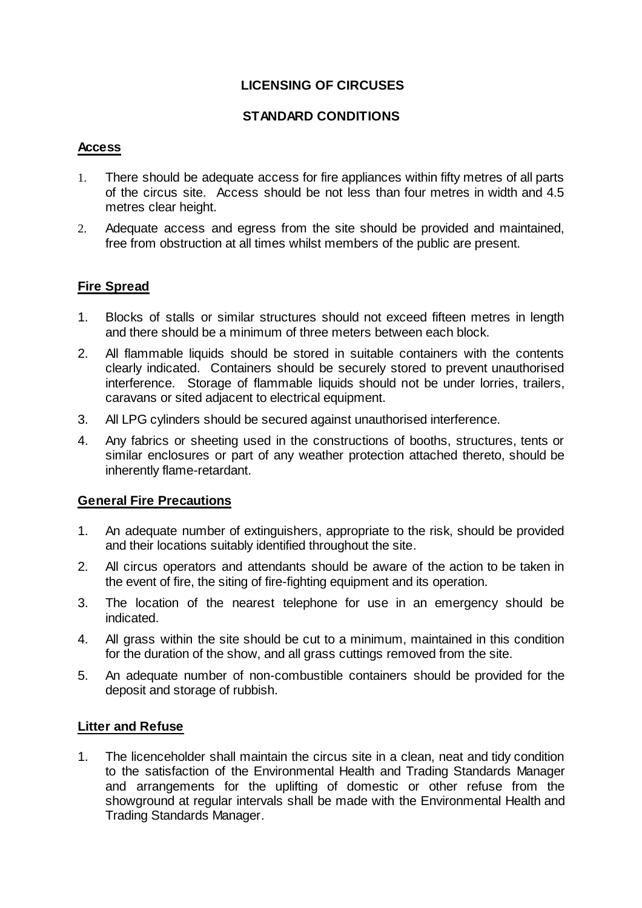# **LICENSING OF CIRCUSES**

### **STANDARD CONDITIONS**

### **Access**

- 1. There should be adequate access for fire appliances within fifty metres of all parts of the circus site. Access should be not less than four metres in width and 4.5 metres clear height.
- 2. Adequate access and egress from the site should be provided and maintained, free from obstruction at all times whilst members of the public are present.

## **Fire Spread**

- 1. Blocks of stalls or similar structures should not exceed fifteen metres in length and there should be a minimum of three meters between each block.
- 2. All flammable liquids should be stored in suitable containers with the contents clearly indicated. Containers should be securely stored to prevent unauthorised interference. Storage of flammable liquids should not be under lorries, trailers, caravans or sited adjacent to electrical equipment.
- 3. All LPG cylinders should be secured against unauthorised interference.
- 4. Any fabrics or sheeting used in the constructions of booths, structures, tents or similar enclosures or part of any weather protection attached thereto, should be inherently flame-retardant.

### **General Fire Precautions**

- 1. An adequate number of extinguishers, appropriate to the risk, should be provided and their locations suitably identified throughout the site.
- 2. All circus operators and attendants should be aware of the action to be taken in the event of fire, the siting of fire-fighting equipment and its operation.
- 3. The location of the nearest telephone for use in an emergency should be indicated.
- 4. All grass within the site should be cut to a minimum, maintained in this condition for the duration of the show, and all grass cuttings removed from the site.
- 5. An adequate number of non-combustible containers should be provided for the deposit and storage of rubbish.

### **Litter and Refuse**

1. The licenceholder shall maintain the circus site in a clean, neat and tidy condition to the satisfaction of the Environmental Health and Trading Standards Manager and arrangements for the uplifting of domestic or other refuse from the showground at regular intervals shall be made with the Environmental Health and Trading Standards Manager.